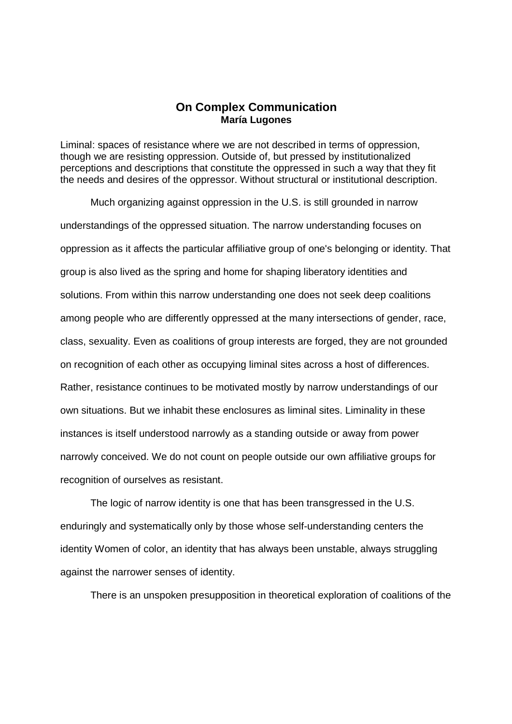## **On Complex Communication María Lugones**

Liminal: spaces of resistance where we are not described in terms of oppression, though we are resisting oppression. Outside of, but pressed by institutionalized perceptions and descriptions that constitute the oppressed in such a way that they fit the needs and desires of the oppressor. Without structural or institutional description.

Much organizing against oppression in the U.S. is still grounded in narrow understandings of the oppressed situation. The narrow understanding focuses on oppression as it affects the particular affiliative group of one's belonging or identity. That group is also lived as the spring and home for shaping liberatory identities and solutions. From within this narrow understanding one does not seek deep coalitions among people who are differently oppressed at the many intersections of gender, race, class, sexuality. Even as coalitions of group interests are forged, they are not grounded on recognition of each other as occupying liminal sites across a host of differences. Rather, resistance continues to be motivated mostly by narrow understandings of our own situations. But we inhabit these enclosures as liminal sites. Liminality in these instances is itself understood narrowly as a standing outside or away from power narrowly conceived. We do not count on people outside our own affiliative groups for recognition of ourselves as resistant.

The logic of narrow identity is one that has been transgressed in the U.S. enduringly and systematically only by those whose self-understanding centers the identity Women of color, an identity that has always been unstable, always struggling against the narrower senses of identity.

There is an unspoken presupposition in theoretical exploration of coalitions of the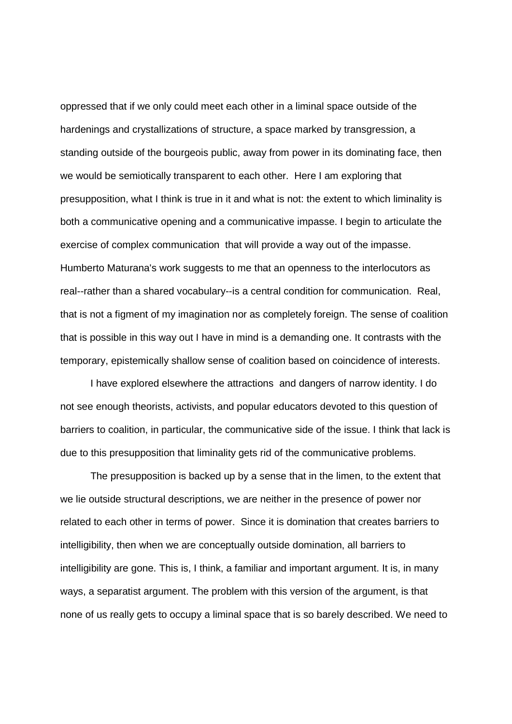oppressed that if we only could meet each other in a liminal space outside of the hardenings and crystallizations of structure, a space marked by transgression, a standing outside of the bourgeois public, away from power in its dominating face, then we would be semiotically transparent to each other. Here I am exploring that presupposition, what I think is true in it and what is not: the extent to which liminality is both a communicative opening and a communicative impasse. I begin to articulate the exercise of complex communication that will provide a way out of the impasse. Humberto Maturana's work suggests to me that an openness to the interlocutors as real--rather than a shared vocabulary--is a central condition for communication. Real, that is not a figment of my imagination nor as completely foreign. The sense of coalition that is possible in this way out I have in mind is a demanding one. It contrasts with the temporary, epistemically shallow sense of coalition based on coincidence of interests.

I have explored elsewhere the attractions and dangers of narrow identity. I do not see enough theorists, activists, and popular educators devoted to this question of barriers to coalition, in particular, the communicative side of the issue. I think that lack is due to this presupposition that liminality gets rid of the communicative problems.

The presupposition is backed up by a sense that in the limen, to the extent that we lie outside structural descriptions, we are neither in the presence of power nor related to each other in terms of power. Since it is domination that creates barriers to intelligibility, then when we are conceptually outside domination, all barriers to intelligibility are gone. This is, I think, a familiar and important argument. It is, in many ways, a separatist argument. The problem with this version of the argument, is that none of us really gets to occupy a liminal space that is so barely described. We need to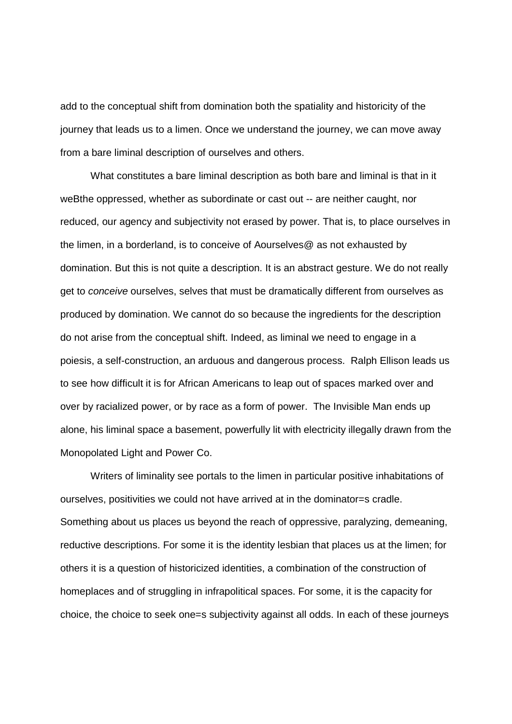add to the conceptual shift from domination both the spatiality and historicity of the journey that leads us to a limen. Once we understand the journey, we can move away from a bare liminal description of ourselves and others.

What constitutes a bare liminal description as both bare and liminal is that in it weBthe oppressed, whether as subordinate or cast out -- are neither caught, nor reduced, our agency and subjectivity not erased by power. That is, to place ourselves in the limen, in a borderland, is to conceive of Aourselves@ as not exhausted by domination. But this is not quite a description. It is an abstract gesture. We do not really get to conceive ourselves, selves that must be dramatically different from ourselves as produced by domination. We cannot do so because the ingredients for the description do not arise from the conceptual shift. Indeed, as liminal we need to engage in a poiesis, a self-construction, an arduous and dangerous process. Ralph Ellison leads us to see how difficult it is for African Americans to leap out of spaces marked over and over by racialized power, or by race as a form of power. The Invisible Man ends up alone, his liminal space a basement, powerfully lit with electricity illegally drawn from the Monopolated Light and Power Co.

Writers of liminality see portals to the limen in particular positive inhabitations of ourselves, positivities we could not have arrived at in the dominator=s cradle. Something about us places us beyond the reach of oppressive, paralyzing, demeaning, reductive descriptions. For some it is the identity lesbian that places us at the limen; for others it is a question of historicized identities, a combination of the construction of homeplaces and of struggling in infrapolitical spaces. For some, it is the capacity for choice, the choice to seek one=s subjectivity against all odds. In each of these journeys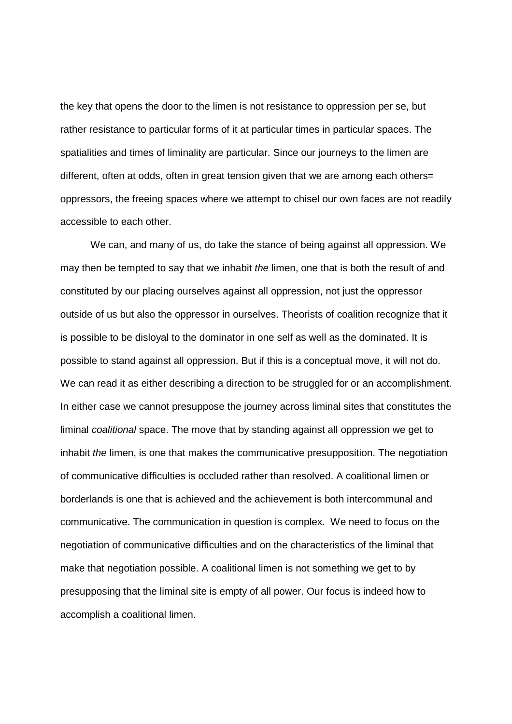the key that opens the door to the limen is not resistance to oppression per se, but rather resistance to particular forms of it at particular times in particular spaces. The spatialities and times of liminality are particular. Since our journeys to the limen are different, often at odds, often in great tension given that we are among each others= oppressors, the freeing spaces where we attempt to chisel our own faces are not readily accessible to each other.

We can, and many of us, do take the stance of being against all oppression. We may then be tempted to say that we inhabit the limen, one that is both the result of and constituted by our placing ourselves against all oppression, not just the oppressor outside of us but also the oppressor in ourselves. Theorists of coalition recognize that it is possible to be disloyal to the dominator in one self as well as the dominated. It is possible to stand against all oppression. But if this is a conceptual move, it will not do. We can read it as either describing a direction to be struggled for or an accomplishment. In either case we cannot presuppose the journey across liminal sites that constitutes the liminal coalitional space. The move that by standing against all oppression we get to inhabit the limen, is one that makes the communicative presupposition. The negotiation of communicative difficulties is occluded rather than resolved. A coalitional limen or borderlands is one that is achieved and the achievement is both intercommunal and communicative. The communication in question is complex. We need to focus on the negotiation of communicative difficulties and on the characteristics of the liminal that make that negotiation possible. A coalitional limen is not something we get to by presupposing that the liminal site is empty of all power. Our focus is indeed how to accomplish a coalitional limen.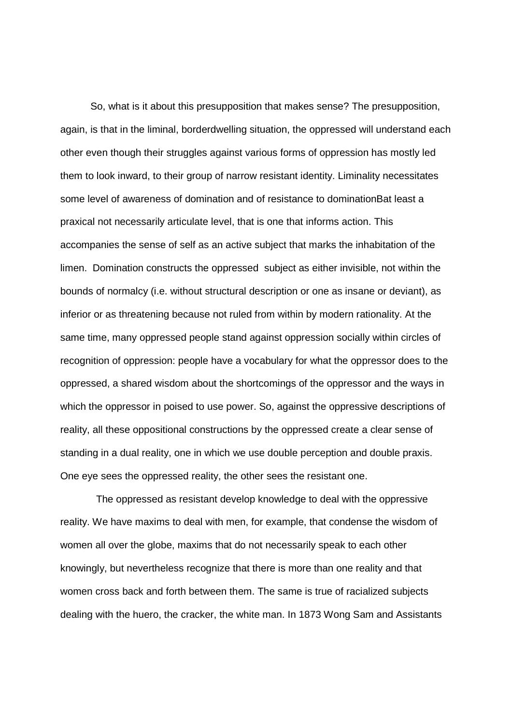So, what is it about this presupposition that makes sense? The presupposition, again, is that in the liminal, borderdwelling situation, the oppressed will understand each other even though their struggles against various forms of oppression has mostly led them to look inward, to their group of narrow resistant identity. Liminality necessitates some level of awareness of domination and of resistance to dominationBat least a praxical not necessarily articulate level, that is one that informs action. This accompanies the sense of self as an active subject that marks the inhabitation of the limen. Domination constructs the oppressed subject as either invisible, not within the bounds of normalcy (i.e. without structural description or one as insane or deviant), as inferior or as threatening because not ruled from within by modern rationality. At the same time, many oppressed people stand against oppression socially within circles of recognition of oppression: people have a vocabulary for what the oppressor does to the oppressed, a shared wisdom about the shortcomings of the oppressor and the ways in which the oppressor in poised to use power. So, against the oppressive descriptions of reality, all these oppositional constructions by the oppressed create a clear sense of standing in a dual reality, one in which we use double perception and double praxis. One eye sees the oppressed reality, the other sees the resistant one.

 The oppressed as resistant develop knowledge to deal with the oppressive reality. We have maxims to deal with men, for example, that condense the wisdom of women all over the globe, maxims that do not necessarily speak to each other knowingly, but nevertheless recognize that there is more than one reality and that women cross back and forth between them. The same is true of racialized subjects dealing with the huero, the cracker, the white man. In 1873 Wong Sam and Assistants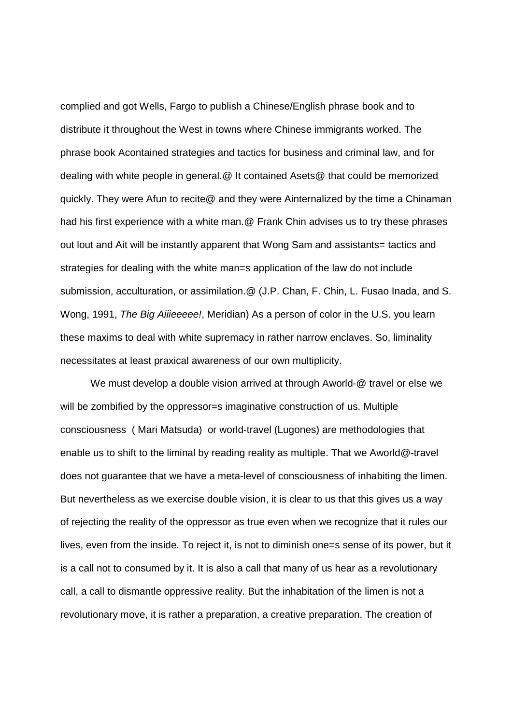complied and got Wells, Fargo to publish a Chinese/English phrase book and to distribute it throughout the West in towns where Chinese immigrants worked. The phrase book Acontained strategies and tactics for business and criminal law, and for dealing with white people in general.@ It contained Asets@ that could be memorized quickly. They were Afun to recite@ and they were Ainternalized by the time a Chinaman had his first experience with a white man.@ Frank Chin advises us to try these phrases out lout and Ait will be instantly apparent that Wong Sam and assistants= tactics and strategies for dealing with the white man=s application of the law do not include submission, acculturation, or assimilation.@ (J.P. Chan, F. Chin, L. Fusao Inada, and S. Wong, 1991, The Big Aiiieeeee!, Meridian) As a person of color in the U.S. you learn these maxims to deal with white supremacy in rather narrow enclaves. So, liminality necessitates at least praxical awareness of our own multiplicity.

We must develop a double vision arrived at through Aworld-@ travel or else we will be zombified by the oppressor=s imaginative construction of us. Multiple consciousness ( Mari Matsuda) or world-travel (Lugones) are methodologies that enable us to shift to the liminal by reading reality as multiple. That we Aworld@-travel does not guarantee that we have a meta-level of consciousness of inhabiting the limen. But nevertheless as we exercise double vision, it is clear to us that this gives us a way of rejecting the reality of the oppressor as true even when we recognize that it rules our lives, even from the inside. To reject it, is not to diminish one=s sense of its power, but it is a call not to consumed by it. It is also a call that many of us hear as a revolutionary call, a call to dismantle oppressive reality. But the inhabitation of the limen is not a revolutionary move, it is rather a preparation, a creative preparation. The creation of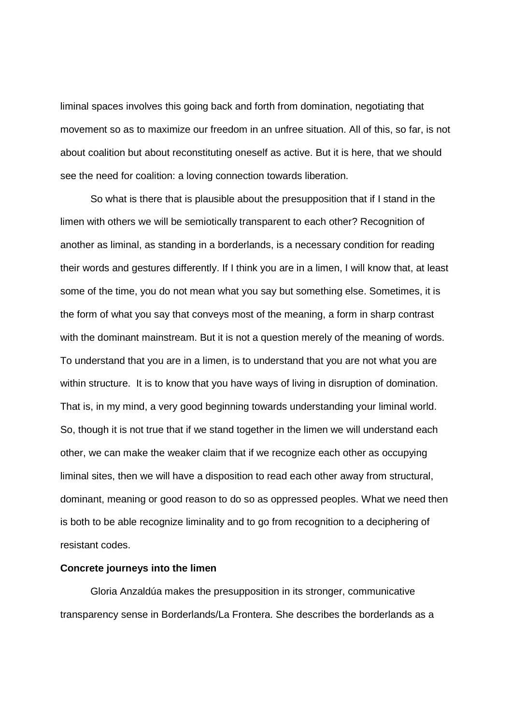liminal spaces involves this going back and forth from domination, negotiating that movement so as to maximize our freedom in an unfree situation. All of this, so far, is not about coalition but about reconstituting oneself as active. But it is here, that we should see the need for coalition: a loving connection towards liberation.

So what is there that is plausible about the presupposition that if I stand in the limen with others we will be semiotically transparent to each other? Recognition of another as liminal, as standing in a borderlands, is a necessary condition for reading their words and gestures differently. If I think you are in a limen, I will know that, at least some of the time, you do not mean what you say but something else. Sometimes, it is the form of what you say that conveys most of the meaning, a form in sharp contrast with the dominant mainstream. But it is not a question merely of the meaning of words. To understand that you are in a limen, is to understand that you are not what you are within structure. It is to know that you have ways of living in disruption of domination. That is, in my mind, a very good beginning towards understanding your liminal world. So, though it is not true that if we stand together in the limen we will understand each other, we can make the weaker claim that if we recognize each other as occupying liminal sites, then we will have a disposition to read each other away from structural, dominant, meaning or good reason to do so as oppressed peoples. What we need then is both to be able recognize liminality and to go from recognition to a deciphering of resistant codes.

## **Concrete journeys into the limen**

Gloria Anzaldúa makes the presupposition in its stronger, communicative transparency sense in Borderlands/La Frontera. She describes the borderlands as a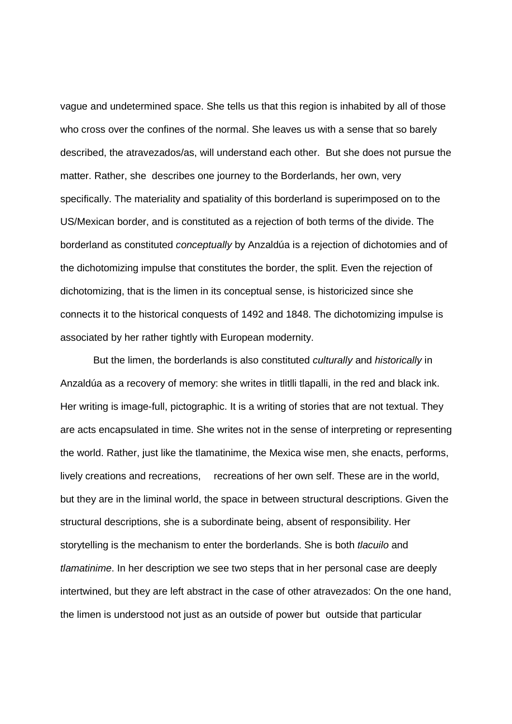vague and undetermined space. She tells us that this region is inhabited by all of those who cross over the confines of the normal. She leaves us with a sense that so barely described, the atravezados/as, will understand each other. But she does not pursue the matter. Rather, she describes one journey to the Borderlands, her own, very specifically. The materiality and spatiality of this borderland is superimposed on to the US/Mexican border, and is constituted as a rejection of both terms of the divide. The borderland as constituted conceptually by Anzaldúa is a rejection of dichotomies and of the dichotomizing impulse that constitutes the border, the split. Even the rejection of dichotomizing, that is the limen in its conceptual sense, is historicized since she connects it to the historical conquests of 1492 and 1848. The dichotomizing impulse is associated by her rather tightly with European modernity.

 But the limen, the borderlands is also constituted culturally and historically in Anzaldúa as a recovery of memory: she writes in tlitlli tlapalli, in the red and black ink. Her writing is image-full, pictographic. It is a writing of stories that are not textual. They are acts encapsulated in time. She writes not in the sense of interpreting or representing the world. Rather, just like the tlamatinime, the Mexica wise men, she enacts, performs, lively creations and recreations, recreations of her own self. These are in the world, but they are in the liminal world, the space in between structural descriptions. Given the structural descriptions, she is a subordinate being, absent of responsibility. Her storytelling is the mechanism to enter the borderlands. She is both *tlacuilo* and tlamatinime. In her description we see two steps that in her personal case are deeply intertwined, but they are left abstract in the case of other atravezados: On the one hand, the limen is understood not just as an outside of power but outside that particular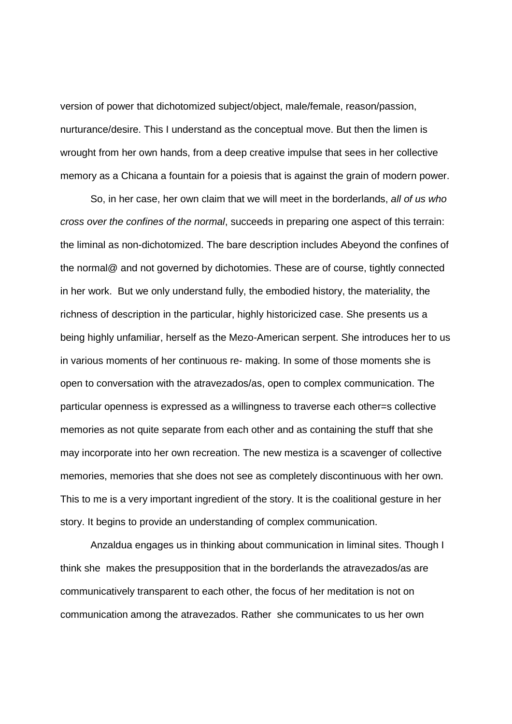version of power that dichotomized subject/object, male/female, reason/passion, nurturance/desire. This I understand as the conceptual move. But then the limen is wrought from her own hands, from a deep creative impulse that sees in her collective memory as a Chicana a fountain for a poiesis that is against the grain of modern power.

So, in her case, her own claim that we will meet in the borderlands, all of us who cross over the confines of the normal, succeeds in preparing one aspect of this terrain: the liminal as non-dichotomized. The bare description includes Abeyond the confines of the normal@ and not governed by dichotomies. These are of course, tightly connected in her work. But we only understand fully, the embodied history, the materiality, the richness of description in the particular, highly historicized case. She presents us a being highly unfamiliar, herself as the Mezo-American serpent. She introduces her to us in various moments of her continuous re- making. In some of those moments she is open to conversation with the atravezados/as, open to complex communication. The particular openness is expressed as a willingness to traverse each other=s collective memories as not quite separate from each other and as containing the stuff that she may incorporate into her own recreation. The new mestiza is a scavenger of collective memories, memories that she does not see as completely discontinuous with her own. This to me is a very important ingredient of the story. It is the coalitional gesture in her story. It begins to provide an understanding of complex communication.

Anzaldua engages us in thinking about communication in liminal sites. Though I think she makes the presupposition that in the borderlands the atravezados/as are communicatively transparent to each other, the focus of her meditation is not on communication among the atravezados. Rather she communicates to us her own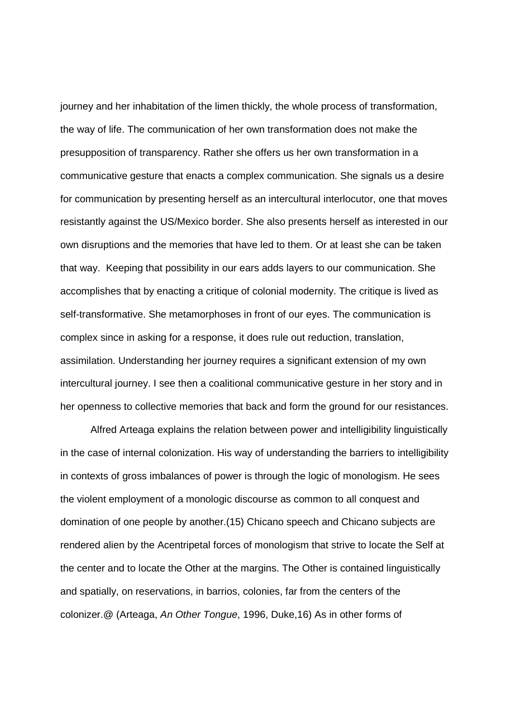journey and her inhabitation of the limen thickly, the whole process of transformation, the way of life. The communication of her own transformation does not make the presupposition of transparency. Rather she offers us her own transformation in a communicative gesture that enacts a complex communication. She signals us a desire for communication by presenting herself as an intercultural interlocutor, one that moves resistantly against the US/Mexico border. She also presents herself as interested in our own disruptions and the memories that have led to them. Or at least she can be taken that way. Keeping that possibility in our ears adds layers to our communication. She accomplishes that by enacting a critique of colonial modernity. The critique is lived as self-transformative. She metamorphoses in front of our eyes. The communication is complex since in asking for a response, it does rule out reduction, translation, assimilation. Understanding her journey requires a significant extension of my own intercultural journey. I see then a coalitional communicative gesture in her story and in her openness to collective memories that back and form the ground for our resistances.

Alfred Arteaga explains the relation between power and intelligibility linguistically in the case of internal colonization. His way of understanding the barriers to intelligibility in contexts of gross imbalances of power is through the logic of monologism. He sees the violent employment of a monologic discourse as common to all conquest and domination of one people by another.(15) Chicano speech and Chicano subjects are rendered alien by the Acentripetal forces of monologism that strive to locate the Self at the center and to locate the Other at the margins. The Other is contained linguistically and spatially, on reservations, in barrios, colonies, far from the centers of the colonizer.@ (Arteaga, An Other Tongue, 1996, Duke,16) As in other forms of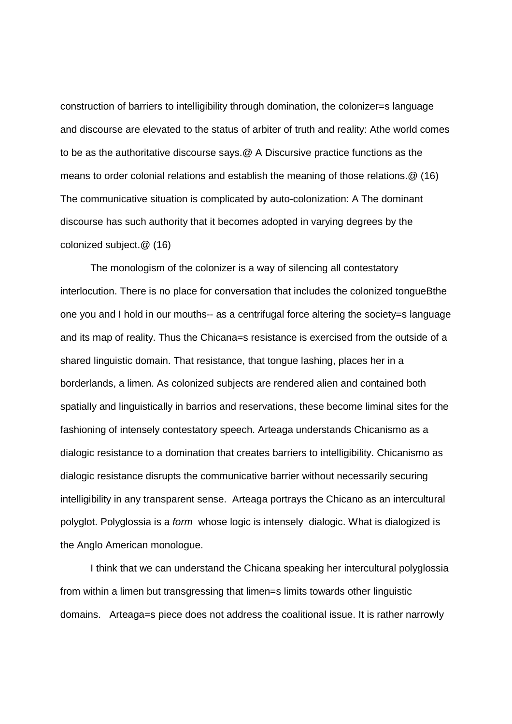construction of barriers to intelligibility through domination, the colonizer=s language and discourse are elevated to the status of arbiter of truth and reality: Athe world comes to be as the authoritative discourse says.@ A Discursive practice functions as the means to order colonial relations and establish the meaning of those relations.@ (16) The communicative situation is complicated by auto-colonization: A The dominant discourse has such authority that it becomes adopted in varying degrees by the colonized subject.@ (16)

The monologism of the colonizer is a way of silencing all contestatory interlocution. There is no place for conversation that includes the colonized tongueBthe one you and I hold in our mouths-- as a centrifugal force altering the society=s language and its map of reality. Thus the Chicana=s resistance is exercised from the outside of a shared linguistic domain. That resistance, that tongue lashing, places her in a borderlands, a limen. As colonized subjects are rendered alien and contained both spatially and linguistically in barrios and reservations, these become liminal sites for the fashioning of intensely contestatory speech. Arteaga understands Chicanismo as a dialogic resistance to a domination that creates barriers to intelligibility. Chicanismo as dialogic resistance disrupts the communicative barrier without necessarily securing intelligibility in any transparent sense. Arteaga portrays the Chicano as an intercultural polyglot. Polyglossia is a form whose logic is intensely dialogic. What is dialogized is the Anglo American monologue.

I think that we can understand the Chicana speaking her intercultural polyglossia from within a limen but transgressing that limen=s limits towards other linguistic domains. Arteaga=s piece does not address the coalitional issue. It is rather narrowly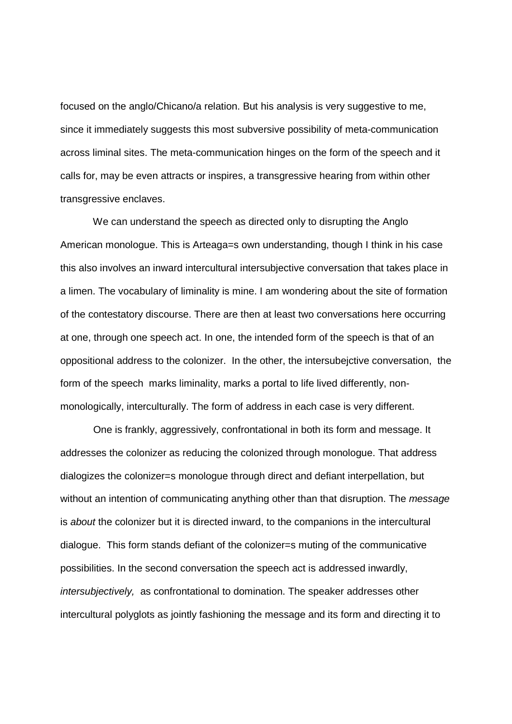focused on the anglo/Chicano/a relation. But his analysis is very suggestive to me, since it immediately suggests this most subversive possibility of meta-communication across liminal sites. The meta-communication hinges on the form of the speech and it calls for, may be even attracts or inspires, a transgressive hearing from within other transgressive enclaves.

We can understand the speech as directed only to disrupting the Anglo American monologue. This is Arteaga=s own understanding, though I think in his case this also involves an inward intercultural intersubjective conversation that takes place in a limen. The vocabulary of liminality is mine. I am wondering about the site of formation of the contestatory discourse. There are then at least two conversations here occurring at one, through one speech act. In one, the intended form of the speech is that of an oppositional address to the colonizer. In the other, the intersubejctive conversation, the form of the speech marks liminality, marks a portal to life lived differently, nonmonologically, interculturally. The form of address in each case is very different.

 One is frankly, aggressively, confrontational in both its form and message. It addresses the colonizer as reducing the colonized through monologue. That address dialogizes the colonizer=s monologue through direct and defiant interpellation, but without an intention of communicating anything other than that disruption. The *message* is about the colonizer but it is directed inward, to the companions in the intercultural dialogue. This form stands defiant of the colonizer=s muting of the communicative possibilities. In the second conversation the speech act is addressed inwardly, intersubjectively, as confrontational to domination. The speaker addresses other intercultural polyglots as jointly fashioning the message and its form and directing it to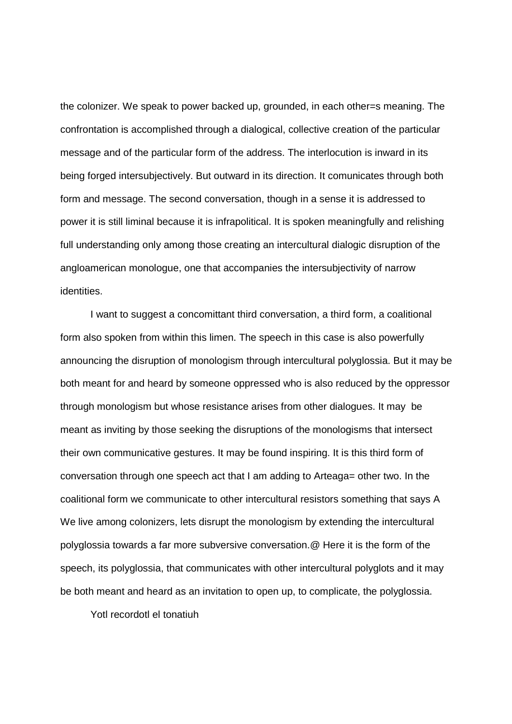the colonizer. We speak to power backed up, grounded, in each other=s meaning. The confrontation is accomplished through a dialogical, collective creation of the particular message and of the particular form of the address. The interlocution is inward in its being forged intersubjectively. But outward in its direction. It comunicates through both form and message. The second conversation, though in a sense it is addressed to power it is still liminal because it is infrapolitical. It is spoken meaningfully and relishing full understanding only among those creating an intercultural dialogic disruption of the angloamerican monologue, one that accompanies the intersubjectivity of narrow identities.

I want to suggest a concomittant third conversation, a third form, a coalitional form also spoken from within this limen. The speech in this case is also powerfully announcing the disruption of monologism through intercultural polyglossia. But it may be both meant for and heard by someone oppressed who is also reduced by the oppressor through monologism but whose resistance arises from other dialogues. It may be meant as inviting by those seeking the disruptions of the monologisms that intersect their own communicative gestures. It may be found inspiring. It is this third form of conversation through one speech act that I am adding to Arteaga= other two. In the coalitional form we communicate to other intercultural resistors something that says A We live among colonizers, lets disrupt the monologism by extending the intercultural polyglossia towards a far more subversive conversation.@ Here it is the form of the speech, its polyglossia, that communicates with other intercultural polyglots and it may be both meant and heard as an invitation to open up, to complicate, the polyglossia.

Yotl recordotl el tonatiuh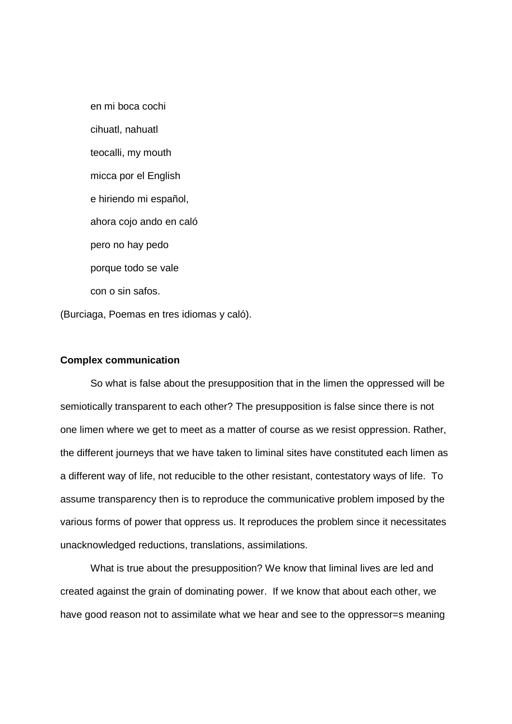en mi boca cochi cihuatl, nahuatl teocalli, my mouth micca por el English e hiriendo mi español, ahora cojo ando en caló pero no hay pedo porque todo se vale con o sin safos.

(Burciaga, Poemas en tres idiomas y caló).

## **Complex communication**

So what is false about the presupposition that in the limen the oppressed will be semiotically transparent to each other? The presupposition is false since there is not one limen where we get to meet as a matter of course as we resist oppression. Rather, the different journeys that we have taken to liminal sites have constituted each limen as a different way of life, not reducible to the other resistant, contestatory ways of life. To assume transparency then is to reproduce the communicative problem imposed by the various forms of power that oppress us. It reproduces the problem since it necessitates unacknowledged reductions, translations, assimilations.

What is true about the presupposition? We know that liminal lives are led and created against the grain of dominating power. If we know that about each other, we have good reason not to assimilate what we hear and see to the oppressor=s meaning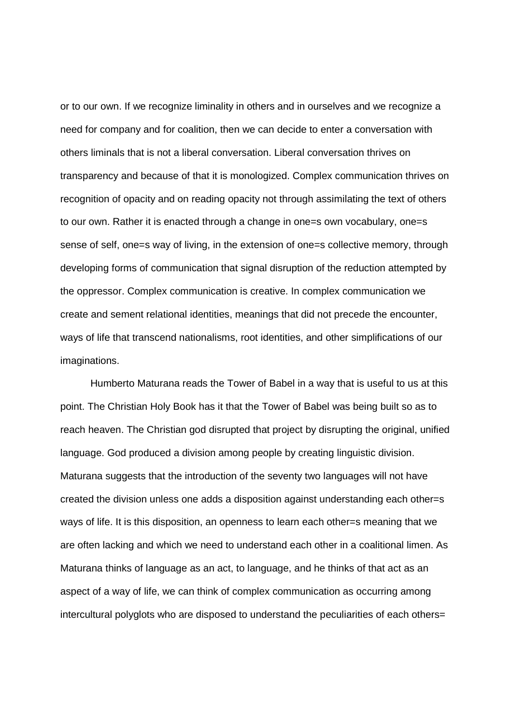or to our own. If we recognize liminality in others and in ourselves and we recognize a need for company and for coalition, then we can decide to enter a conversation with others liminals that is not a liberal conversation. Liberal conversation thrives on transparency and because of that it is monologized. Complex communication thrives on recognition of opacity and on reading opacity not through assimilating the text of others to our own. Rather it is enacted through a change in one=s own vocabulary, one=s sense of self, one=s way of living, in the extension of one=s collective memory, through developing forms of communication that signal disruption of the reduction attempted by the oppressor. Complex communication is creative. In complex communication we create and sement relational identities, meanings that did not precede the encounter, ways of life that transcend nationalisms, root identities, and other simplifications of our imaginations.

Humberto Maturana reads the Tower of Babel in a way that is useful to us at this point. The Christian Holy Book has it that the Tower of Babel was being built so as to reach heaven. The Christian god disrupted that project by disrupting the original, unified language. God produced a division among people by creating linguistic division. Maturana suggests that the introduction of the seventy two languages will not have created the division unless one adds a disposition against understanding each other=s ways of life. It is this disposition, an openness to learn each other=s meaning that we are often lacking and which we need to understand each other in a coalitional limen. As Maturana thinks of language as an act, to language, and he thinks of that act as an aspect of a way of life, we can think of complex communication as occurring among intercultural polyglots who are disposed to understand the peculiarities of each others=